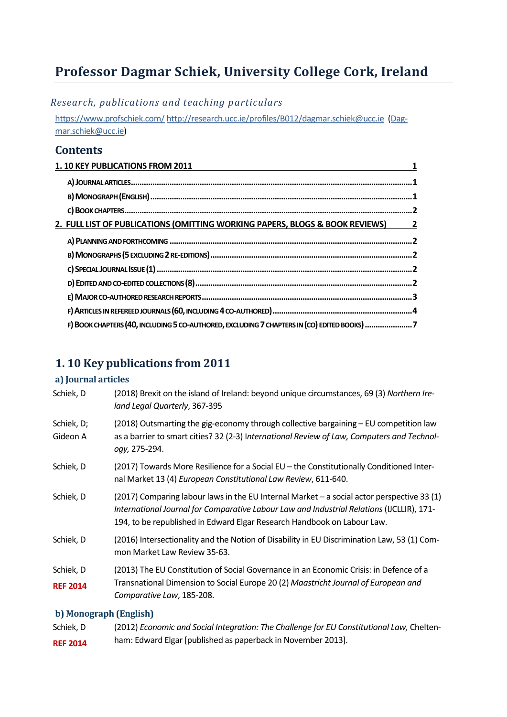# **Professor Dagmar Schiek, University College Cork, Ireland**

*Research, publications and teaching particulars*

<https://www.profschiek.com/> <http://research.ucc.ie/profiles/B012/dagmar.schiek@ucc.ie> [\(Dag](mailto:Dagmar.schiek@ucc.ie)[mar.schiek@ucc.ie\)](mailto:Dagmar.schiek@ucc.ie)

### **Contents**

| 1. 10 KEY PUBLICATIONS FROM 2011                                                            |   |
|---------------------------------------------------------------------------------------------|---|
|                                                                                             |   |
|                                                                                             |   |
|                                                                                             |   |
| 2. FULL LIST OF PUBLICATIONS (OMITTING WORKING PAPERS, BLOGS & BOOK REVIEWS)                | 2 |
|                                                                                             |   |
|                                                                                             |   |
|                                                                                             |   |
|                                                                                             |   |
|                                                                                             |   |
|                                                                                             |   |
| F) BOOK CHAPTERS (40, INCLUDING 5 CO-AUTHORED, EXCLUDING 7 CHAPTERS IN (CO) EDITED BOOKS) 7 |   |

## <span id="page-0-0"></span>**1. 10 Key publications from 2011**

### <span id="page-0-1"></span>**a) Journal articles**

| Schiek, D                    | (2018) Brexit on the island of Ireland: beyond unique circumstances, 69 (3) Northern Ire-<br>land Legal Quarterly, 367-395                                                                                                                                         |
|------------------------------|--------------------------------------------------------------------------------------------------------------------------------------------------------------------------------------------------------------------------------------------------------------------|
| Schiek, D;<br>Gideon A       | (2018) Outsmarting the gig-economy through collective bargaining - EU competition law<br>as a barrier to smart cities? 32 (2-3) International Review of Law, Computers and Technol-<br>ogy, 275-294.                                                               |
| Schiek, D                    | (2017) Towards More Resilience for a Social EU – the Constitutionally Conditioned Inter-<br>nal Market 13 (4) European Constitutional Law Review, 611-640.                                                                                                         |
| Schiek, D                    | (2017) Comparing labour laws in the EU Internal Market - a social actor perspective 33 (1)<br>International Journal for Comparative Labour Law and Industrial Relations (IJCLLIR), 171-<br>194, to be republished in Edward Elgar Research Handbook on Labour Law. |
| Schiek, D                    | (2016) Intersectionality and the Notion of Disability in EU Discrimination Law, 53 (1) Com-<br>mon Market Law Review 35-63.                                                                                                                                        |
| Schiek, D<br><b>REF 2014</b> | (2013) The EU Constitution of Social Governance in an Economic Crisis: in Defence of a<br>Transnational Dimension to Social Europe 20 (2) Maastricht Journal of European and<br>Comparative Law, 185-208.                                                          |

### <span id="page-0-2"></span>**b) Monograph (English)**

| Schiek, D       | (2012) Economic and Social Integration: The Challenge for EU Constitutional Law, Chelten- |
|-----------------|-------------------------------------------------------------------------------------------|
| <b>REF 2014</b> | ham: Edward Elgar [published as paperback in November 2013].                              |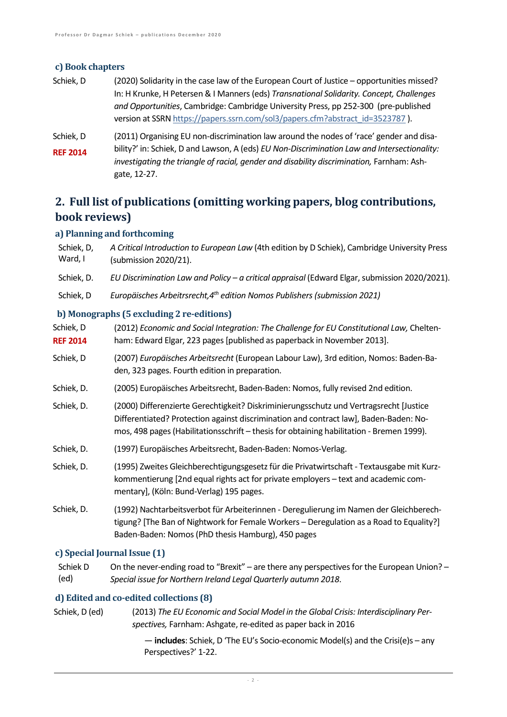### <span id="page-1-0"></span>**c) Book chapters**

- Schiek, D (2020) Solidarity in the case law of the European Court of Justice opportunities missed? In: H Krunke, H Petersen & I Manners (eds) *Transnational Solidarity. Concept, Challenges and Opportunities*, Cambridge: Cambridge University Press, pp 252-300 (pre-published version at SSR[N https://papers.ssrn.com/sol3/papers.cfm?abstract\\_id=3523787](https://papers.ssrn.com/sol3/papers.cfm?abstract_id=3523787) ).
- Schiek, D **REF 2014** (2011) Organising EU non-discrimination law around the nodes of 'race' gender and disability?' in: Schiek, D and Lawson, A (eds) *EU Non-Discrimination Law and Intersectionality:*  investigating the triangle of racial, gender and disability discrimination, Farnham: Ashgate, 12-27.

## <span id="page-1-1"></span>**2. Full list of publications (omitting working papers, blog contributions, book reviews)**

### <span id="page-1-2"></span>**a) Planning and forthcoming**

| Schiek, D,<br>Ward, I                     | A Critical Introduction to European Law (4th edition by D Schiek), Cambridge University Press<br>(submission 2020/21). |
|-------------------------------------------|------------------------------------------------------------------------------------------------------------------------|
| Schiek, D.                                | EU Discrimination Law and Policy - a critical appraisal (Edward Elgar, submission 2020/2021).                          |
| Schiek, D                                 | Europäisches Arbeitrsrecht, 4 <sup>th</sup> edition Nomos Publishers (submission 2021)                                 |
| b) Monographs (5 excluding 2 re-editions) |                                                                                                                        |

<span id="page-1-3"></span>

| Schiek, D<br><b>REF 2014</b> | (2012) Economic and Social Integration: The Challenge for EU Constitutional Law, Chelten-<br>ham: Edward Elgar, 223 pages [published as paperback in November 2013].                                                                                                        |
|------------------------------|-----------------------------------------------------------------------------------------------------------------------------------------------------------------------------------------------------------------------------------------------------------------------------|
| Schiek, D                    | (2007) Europäisches Arbeitsrecht (European Labour Law), 3rd edition, Nomos: Baden-Ba-<br>den, 323 pages. Fourth edition in preparation.                                                                                                                                     |
| Schiek, D.                   | (2005) Europäisches Arbeitsrecht, Baden-Baden: Nomos, fully revised 2nd edition.                                                                                                                                                                                            |
| Schiek, D.                   | (2000) Differenzierte Gerechtigkeit? Diskriminierungsschutz und Vertragsrecht [Justice<br>Differentiated? Protection against discrimination and contract law], Baden-Baden: No-<br>mos, 498 pages (Habilitationsschrift – thesis for obtaining habilitation - Bremen 1999). |
| Schiek, D.                   | (1997) Europäisches Arbeitsrecht, Baden-Baden: Nomos-Verlag.                                                                                                                                                                                                                |
| Schiek, D.                   | (1995) Zweites Gleichberechtigungsgesetz für die Privatwirtschaft - Textausgabe mit Kurz-<br>kommentierung [2nd equal rights act for private employers - text and academic com-<br>mentary], (Köln: Bund-Verlag) 195 pages.                                                 |
| Schiek, D.                   | (1992) Nachtarbeitsverbot für Arbeiterinnen - Deregulierung im Namen der Gleichberech-<br>tigung? [The Ban of Nightwork for Female Workers - Deregulation as a Road to Equality?]<br>Baden-Baden: Nomos (PhD thesis Hamburg), 450 pages                                     |

### <span id="page-1-4"></span>**c) Special Journal Issue (1)**

Schiek D (ed) On the never-ending road to "Brexit" – are there any perspectives for the European Union? – *Special issue for Northern Ireland Legal Quarterly autumn 2018*.

### <span id="page-1-5"></span>**d) Edited and co-edited collections (8)**

Schiek, D (ed) (2013) *The EU Economic and Social Model in the Global Crisis: Interdisciplinary Perspectives,* Farnham: Ashgate, re-edited as paper back in 2016

> — **includes**: Schiek, D 'The EU's Socio-economic Model(s) and the Crisi(e)s – any Perspectives?' 1-22.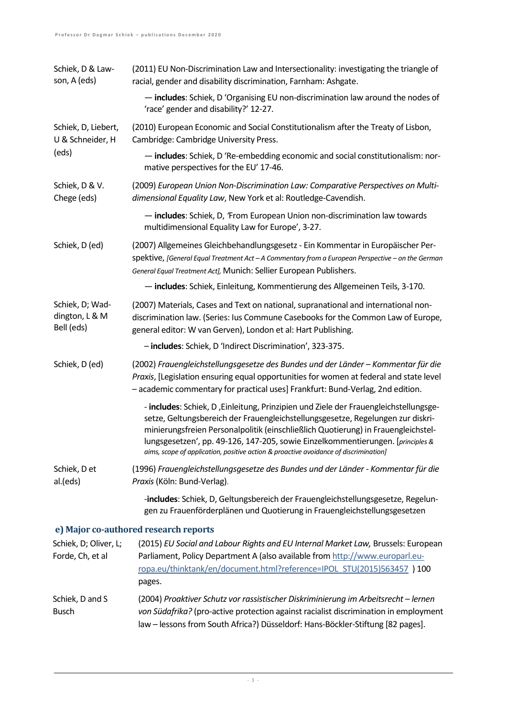<span id="page-2-0"></span>

| (2011) EU Non-Discrimination Law and Intersectionality: investigating the triangle of<br>racial, gender and disability discrimination, Farnham: Ashgate.                                                                                                                                                                                                                                                                                |
|-----------------------------------------------------------------------------------------------------------------------------------------------------------------------------------------------------------------------------------------------------------------------------------------------------------------------------------------------------------------------------------------------------------------------------------------|
| - includes: Schiek, D 'Organising EU non-discrimination law around the nodes of<br>'race' gender and disability?' 12-27.                                                                                                                                                                                                                                                                                                                |
| (2010) European Economic and Social Constitutionalism after the Treaty of Lisbon,<br>Cambridge: Cambridge University Press.                                                                                                                                                                                                                                                                                                             |
| - includes: Schiek, D 'Re-embedding economic and social constitutionalism: nor-<br>mative perspectives for the EU' 17-46.                                                                                                                                                                                                                                                                                                               |
| (2009) European Union Non-Discrimination Law: Comparative Perspectives on Multi-<br>dimensional Equality Law, New York et al: Routledge-Cavendish.                                                                                                                                                                                                                                                                                      |
| - includes: Schiek, D, 'From European Union non-discrimination law towards<br>multidimensional Equality Law for Europe', 3-27.                                                                                                                                                                                                                                                                                                          |
| (2007) Allgemeines Gleichbehandlungsgesetz - Ein Kommentar in Europäischer Per-<br>spektive, [General Equal Treatment Act - A Commentary from a European Perspective - on the German<br>General Equal Treatment Act], Munich: Sellier European Publishers.                                                                                                                                                                              |
| - includes: Schiek, Einleitung, Kommentierung des Allgemeinen Teils, 3-170.                                                                                                                                                                                                                                                                                                                                                             |
| (2007) Materials, Cases and Text on national, supranational and international non-<br>discrimination law. (Series: lus Commune Casebooks for the Common Law of Europe,<br>general editor: W van Gerven), London et al: Hart Publishing.                                                                                                                                                                                                 |
| - includes: Schiek, D 'Indirect Discrimination', 323-375.                                                                                                                                                                                                                                                                                                                                                                               |
| (2002) Frauengleichstellungsgesetze des Bundes und der Länder - Kommentar für die<br>Praxis, [Legislation ensuring equal opportunities for women at federal and state level<br>- academic commentary for practical uses] Frankfurt: Bund-Verlag, 2nd edition.                                                                                                                                                                           |
| - includes: Schiek, D, Einleitung, Prinzipien und Ziele der Frauengleichstellungsge-<br>setze, Geltungsbereich der Frauengleichstellungsgesetze, Regelungen zur diskri-<br>minierungsfreien Personalpolitik (einschließlich Quotierung) in Frauengleichstel-<br>lungsgesetzen', pp. 49-126, 147-205, sowie Einzelkommentierungen. [principles &<br>aims, scope of application, positive action & proactive avoidance of discrimination] |
| (1996) Frauengleichstellungsgesetze des Bundes und der Länder - Kommentar für die<br>Praxis (Köln: Bund-Verlag).                                                                                                                                                                                                                                                                                                                        |
| -includes: Schiek, D, Geltungsbereich der Frauengleichstellungsgesetze, Regelun-<br>gen zu Frauenförderplänen und Quotierung in Frauengleichstellungsgesetzen                                                                                                                                                                                                                                                                           |
| e) Major co-authored research reports                                                                                                                                                                                                                                                                                                                                                                                                   |
| (2015) EU Social and Labour Rights and EU Internal Market Law, Brussels: European<br>Parliament, Policy Department A (also available from http://www.europarl.eu-<br>ropa.eu/thinktank/en/document.html?reference=IPOL STU(2015)563457 ) 100<br>pages.                                                                                                                                                                                  |
| (2004) Proaktiver Schutz vor rassistischer Diskriminierung im Arbeitsrecht - lernen<br>von Südafrika? (pro-active protection against racialist discrimination in employment<br>law - lessons from South Africa?) Düsseldorf: Hans-Böckler-Stiftung [82 pages].                                                                                                                                                                          |
|                                                                                                                                                                                                                                                                                                                                                                                                                                         |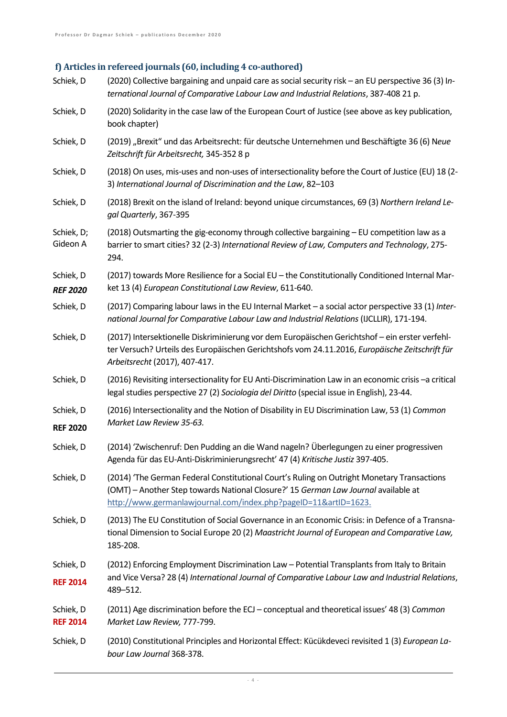#### <span id="page-3-0"></span>**f) Articles in refereed journals (60, including 4 co-authored)**

| Schiek, D                    | (2020) Collective bargaining and unpaid care as social security risk - an EU perspective 36 (3) In-<br>ternational Journal of Comparative Labour Law and Industrial Relations, 387-408 21 p.                                                        |
|------------------------------|-----------------------------------------------------------------------------------------------------------------------------------------------------------------------------------------------------------------------------------------------------|
| Schiek, D                    | (2020) Solidarity in the case law of the European Court of Justice (see above as key publication,<br>book chapter)                                                                                                                                  |
| Schiek, D                    | (2019) "Brexit" und das Arbeitsrecht: für deutsche Unternehmen und Beschäftigte 36 (6) Neue<br>Zeitschrift für Arbeitsrecht, 345-352 8 p                                                                                                            |
| Schiek, D                    | (2018) On uses, mis-uses and non-uses of intersectionality before the Court of Justice (EU) 18 (2-<br>3) International Journal of Discrimination and the Law, 82-103                                                                                |
| Schiek, D                    | (2018) Brexit on the island of Ireland: beyond unique circumstances, 69 (3) Northern Ireland Le-<br>gal Quarterly, 367-395                                                                                                                          |
| Schiek, D;<br>Gideon A       | (2018) Outsmarting the gig-economy through collective bargaining - EU competition law as a<br>barrier to smart cities? 32 (2-3) International Review of Law, Computers and Technology, 275-<br>294.                                                 |
| Schiek, D<br><b>REF 2020</b> | (2017) towards More Resilience for a Social EU - the Constitutionally Conditioned Internal Mar-<br>ket 13 (4) European Constitutional Law Review, 611-640.                                                                                          |
| Schiek, D                    | (2017) Comparing labour laws in the EU Internal Market - a social actor perspective 33 (1) Inter-<br>national Journal for Comparative Labour Law and Industrial Relations (IJCLLIR), 171-194.                                                       |
| Schiek, D                    | (2017) Intersektionelle Diskriminierung vor dem Europäischen Gerichtshof - ein erster verfehl-<br>ter Versuch? Urteils des Europäischen Gerichtshofs vom 24.11.2016, Europäische Zeitschrift für<br>Arbeitsrecht (2017), 407-417.                   |
| Schiek, D                    | (2016) Revisiting intersectionality for EU Anti-Discrimination Law in an economic crisis -a critical<br>legal studies perspective 27 (2) Sociologia del Diritto (special issue in English), 23-44.                                                  |
| Schiek, D<br><b>REF 2020</b> | (2016) Intersectionality and the Notion of Disability in EU Discrimination Law, 53 (1) Common<br>Market Law Review 35-63.                                                                                                                           |
| Schiek, D                    | (2014) 'Zwischenruf: Den Pudding an die Wand nageln? Überlegungen zu einer progressiven<br>Agenda für das EU-Anti-Diskriminierungsrecht' 47 (4) Kritische Justiz 397-405.                                                                           |
| Schiek, D                    | (2014) 'The German Federal Constitutional Court's Ruling on Outright Monetary Transactions<br>(OMT) - Another Step towards National Closure?' 15 German Law Journal available at<br>http://www.germanlawjournal.com/index.php?pageID=11&artID=1623. |
| Schiek, D                    | (2013) The EU Constitution of Social Governance in an Economic Crisis: in Defence of a Transna-<br>tional Dimension to Social Europe 20 (2) Maastricht Journal of European and Comparative Law,<br>185-208.                                         |
| Schiek, D<br><b>REF 2014</b> | (2012) Enforcing Employment Discrimination Law - Potential Transplants from Italy to Britain<br>and Vice Versa? 28 (4) International Journal of Comparative Labour Law and Industrial Relations,<br>489-512.                                        |
| Schiek, D<br><b>REF 2014</b> | (2011) Age discrimination before the ECJ - conceptual and theoretical issues' 48 (3) Common<br>Market Law Review, 777-799.                                                                                                                          |
| Schiek, D                    | (2010) Constitutional Principles and Horizontal Effect: Kücükdeveci revisited 1 (3) European La-<br>bour Law Journal 368-378.                                                                                                                       |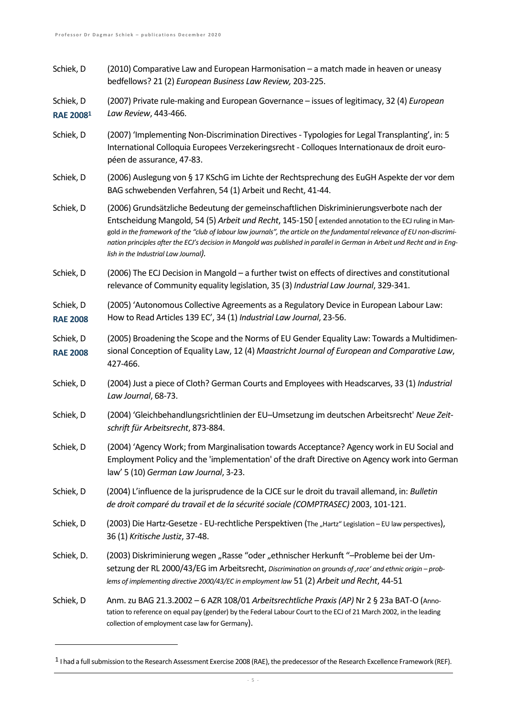Schiek, D (2010) Comparative Law and European Harmonisation – a match made in heaven or uneasy bedfellows? 21 (2) *European Business Law Review,* 203-225.

Schiek, D **RAE 2008<sup>1</sup>** (2007) Private rule-making and European Governance – issues of legitimacy, 32 (4) *European Law Review*, 443-466.

- Schiek, D (2007) 'Implementing Non-Discrimination Directives Typologies for Legal Transplanting', in: 5 International Colloquia Europees Verzekeringsrecht - Colloques Internationaux de droit européen de assurance, 47-83.
- Schiek, D (2006) Auslegung von § 17 KSchG im Lichte der Rechtsprechung des EuGH Aspekte der vor dem BAG schwebenden Verfahren, 54 (1) Arbeit und Recht, 41-44.
- Schiek, D (2006) Grundsätzliche Bedeutung der gemeinschaftlichen Diskriminierungsverbote nach der Entscheidung Mangold, 54 (5) *Arbeit und Recht*, 145-150 [ extended annotation to the ECJ ruling in Mangold *in the framework of the "club of labour law journals", the article on the fundamental relevance of EU non-discrimination principles after the ECJ's decision in Mangold was published in parallel in German in Arbeit und Recht and in English in the Industrial Law Journal).*
- Schiek, D (2006) The ECJ Decision in Mangold a further twist on effects of directives and constitutional relevance of Community equality legislation, 35 (3) *Industrial Law Journal*, 329-341.
- Schiek, D **RAE 2008** (2005) 'Autonomous Collective Agreements as a Regulatory Device in European Labour Law: How to Read Articles 139 EC', 34 (1) *Industrial Law Journal*, 23-56.
- Schiek, D **RAE 2008** (2005) Broadening the Scope and the Norms of EU Gender Equality Law: Towards a Multidimensional Conception of Equality Law, 12 (4) *Maastricht Journal of European and Comparative Law*, 427-466.
- Schiek, D (2004) Just a piece of Cloth? German Courts and Employees with Headscarves, 33 (1) *Industrial Law Journal*, 68-73.
- Schiek, D (2004) 'Gleichbehandlungsrichtlinien der EU–Umsetzung im deutschen Arbeitsrecht' *Neue Zeitschrift für Arbeitsrecht*, 873-884.
- Schiek, D (2004) 'Agency Work; from Marginalisation towards Acceptance? Agency work in EU Social and Employment Policy and the 'implementation' of the draft Directive on Agency work into German law' 5 (10) *German Law Journal*, 3-23.
- Schiek, D (2004) L'influence de la jurisprudence de la CJCE sur le droit du travail allemand, in: *Bulletin de droit comparé du travail et de la sécurité sociale (COMPTRASEC)* 2003, 101-121.
- Schiek, D (2003) Die Hartz-Gesetze EU-rechtliche Perspektiven (The "Hartz" Legislation EU law perspectives), 36 (1) *Kritische Justiz*, 37-48.
- Schiek, D. (2003) Diskriminierung wegen "Rasse "oder "ethnischer Herkunft "-Probleme bei der Umsetzung der RL 2000/43/EG im Arbeitsrecht, *Discrimination on grounds of 'race' and ethnic origin – problems of implementing directive 2000/43/EC in employment law* 51 (2) *Arbeit und Recht*, 44-51
- Schiek, D Anm.zu BAG 21.3.2002 6 AZR 108/01 *Arbeitsrechtliche Praxis (AP)* Nr 2 § 23a BAT-O (Annotation to reference on equal pay (gender) by the Federal Labour Court to the ECJ of 21 March 2002, in the leading collection of employment case law for Germany).

<sup>&</sup>lt;sup>1</sup> I had a full submission to the Research Assessment Exercise 2008 (RAE), the predecessor of the Research Excellence Framework (REF).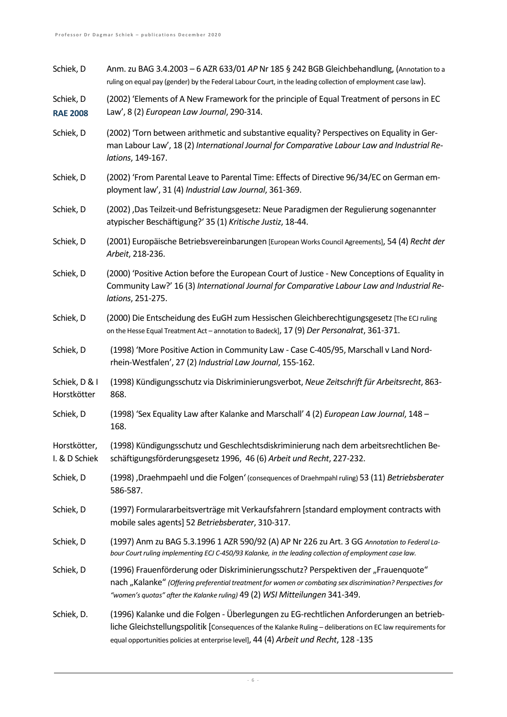| Schiek, D                     | Anm. zu BAG 3.4.2003 – 6 AZR 633/01 AP Nr 185 § 242 BGB Gleichbehandlung, (Annotation to a<br>ruling on equal pay (gender) by the Federal Labour Court, in the leading collection of employment case law).                                                                                      |
|-------------------------------|-------------------------------------------------------------------------------------------------------------------------------------------------------------------------------------------------------------------------------------------------------------------------------------------------|
| Schiek, D<br><b>RAE 2008</b>  | (2002) 'Elements of A New Framework for the principle of Equal Treatment of persons in EC<br>Law', 8 (2) European Law Journal, 290-314.                                                                                                                                                         |
| Schiek, D                     | (2002) 'Torn between arithmetic and substantive equality? Perspectives on Equality in Ger-<br>man Labour Law', 18 (2) International Journal for Comparative Labour Law and Industrial Re-<br>lations, 149-167.                                                                                  |
| Schiek, D                     | (2002) 'From Parental Leave to Parental Time: Effects of Directive 96/34/EC on German em-<br>ployment law', 31 (4) Industrial Law Journal, 361-369.                                                                                                                                             |
| Schiek, D                     | (2002) , Das Teilzeit-und Befristungsgesetz: Neue Paradigmen der Regulierung sogenannter<br>atypischer Beschäftigung?' 35 (1) Kritische Justiz, 18-44.                                                                                                                                          |
| Schiek, D                     | (2001) Europäische Betriebsvereinbarungen [European Works Council Agreements], 54 (4) Recht der<br>Arbeit, 218-236.                                                                                                                                                                             |
| Schiek, D                     | (2000) 'Positive Action before the European Court of Justice - New Conceptions of Equality in<br>Community Law?' 16 (3) International Journal for Comparative Labour Law and Industrial Re-<br>lations, 251-275.                                                                                |
| Schiek, D                     | (2000) Die Entscheidung des EuGH zum Hessischen Gleichberechtigungsgesetz [The ECJ ruling<br>on the Hesse Equal Treatment Act - annotation to Badeck], 17 (9) Der Personalrat, 361-371.                                                                                                         |
| Schiek, D                     | (1998) 'More Positive Action in Community Law - Case C-405/95, Marschall v Land Nord-<br>rhein-Westfalen', 27 (2) Industrial Law Journal, 155-162.                                                                                                                                              |
| Schiek, D & I<br>Horstkötter  | (1998) Kündigungsschutz via Diskriminierungsverbot, Neue Zeitschrift für Arbeitsrecht, 863-<br>868.                                                                                                                                                                                             |
| Schiek, D                     | (1998) 'Sex Equality Law after Kalanke and Marschall' 4 (2) European Law Journal, 148 -<br>168.                                                                                                                                                                                                 |
| Horstkötter,<br>I. & D Schiek | (1998) Kündigungsschutz und Geschlechtsdiskriminierung nach dem arbeitsrechtlichen Be-<br>schäftigungsförderungsgesetz 1996, 46 (6) Arbeit und Recht, 227-232.                                                                                                                                  |
| Schiek, D                     | (1998) , Draehmpaehl und die Folgen' (consequences of Draehmpahl ruling) 53 (11) Betriebsberater<br>586-587.                                                                                                                                                                                    |
| Schiek, D                     | (1997) Formulararbeitsverträge mit Verkaufsfahrern [standard employment contracts with<br>mobile sales agents] 52 Betriebsberater, 310-317.                                                                                                                                                     |
| Schiek, D                     | (1997) Anm zu BAG 5.3.1996 1 AZR 590/92 (A) AP Nr 226 zu Art. 3 GG Annotation to Federal La-<br>bour Court ruling implementing ECJ C-450/93 Kalanke, in the leading collection of employment case law.                                                                                          |
| Schiek, D                     | (1996) Frauenförderung oder Diskriminierungsschutz? Perspektiven der "Frauenquote"<br>nach "Kalanke" (Offering preferential treatment for women or combating sex discrimination? Perspectives for<br>"women's quotas" after the Kalanke ruling) 49 (2) WSI Mitteilungen 341-349.                |
| Schiek, D.                    | (1996) Kalanke und die Folgen - Überlegungen zu EG-rechtlichen Anforderungen an betrieb-<br>liche Gleichstellungspolitik [Consequences of the Kalanke Ruling - deliberations on EC law requirements for<br>equal opportunities policies at enterprise level], 44 (4) Arbeit und Recht, 128 -135 |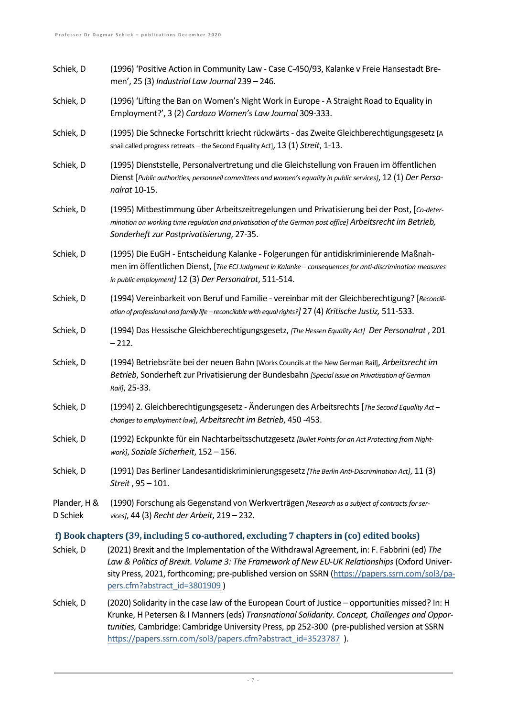- Schiek, D (1996) 'Positive Action in Community Law Case C-450/93, Kalanke v Freie Hansestadt Bremen', 25 (3) *Industrial Law Journal* 239 – 246.
- Schiek, D (1996) 'Lifting the Ban on Women's Night Work in Europe A Straight Road to Equality in Employment?', 3 (2) *Cardozo Women's Law Journal* 309-333.
- Schiek, D (1995) Die Schnecke Fortschritt kriecht rückwärts das Zweite Gleichberechtigungsgesetz [A snail called progress retreats – the Second Equality Act], 13 (1) *Streit*, 1-13.
- Schiek, D (1995) Dienststelle, Personalvertretung und die Gleichstellung von Frauen im öffentlichen Dienst [Public authorities, personnell committees and women's equality in public services], 12 (1) Der Perso*nalrat* 10-15.
- Schiek, D (1995) Mitbestimmung über Arbeitszeitregelungen und Privatisierung bei der Post, [*Co-determination on working time regulation and privatisation of the German post office] Arbeitsrecht im Betrieb, Sonderheft zur Postprivatisierung*, 27-35.
- Schiek, D (1995) Die EuGH Entscheidung Kalanke Folgerungen für antidiskriminierende Maßnahmen im öffentlichen Dienst, [*The ECJ Judgment in Kalanke – consequences for anti-discrimination measures in public employment]* 12 (3) *Der Personalrat*, 511-514.
- Schiek, D (1994) Vereinbarkeit von Beruf und Familie vereinbar mit der Gleichberechtigung? [*Reconciliation of professional and family life – reconcilable with equal rights?]* 27 (4) *Kritische Justiz,* 511-533.
- Schiek, D (1994) Das Hessische Gleichberechtigungsgesetz, *[The Hessen Equality Act] Der Personalrat* , 201  $-212.$
- Schiek, D (1994) Betriebsräte bei der neuen Bahn [Works Councils at the New German Rail], *Arbeitsrecht im Betrieb*, Sonderheft zur Privatisierung der Bundesbahn *[Special Issue on Privatisation of German Rail]*, 25-33.
- Schiek, D (1994) 2. Gleichberechtigungsgesetz Änderungen des Arbeitsrechts[*The Second Equality Act – changes to employment law]*, *Arbeitsrecht im Betrieb*, 450 -453.
- Schiek, D (1992) Eckpunkte für ein Nachtarbeitsschutzgesetz*[Bullet Points for an Act Protecting from Nightwork]*, *Soziale Sicherheit*, 152 – 156.
- Schiek, D (1991) Das Berliner Landesantidiskriminierungsgesetz*[The Berlin Anti-Discrimination Act]*, 11 (3) *Streit* , 95 – 101.
- Plander, H & D Schiek (1990) Forschung als Gegenstand von Werkverträgen *[Research as a subject of contracts for services]*, 44 (3) *Recht der Arbeit*, 219 – 232.

#### <span id="page-6-0"></span>**f) Book chapters (39, including 5 co-authored, excluding 7 chapters in (co) edited books)**

- Schiek, D (2021) Brexit and the Implementation of the Withdrawal Agreement, in: F. Fabbrini (ed) *The Law & Politics of Brexit. Volume 3: The Framework of New EU-UK Relationships* (Oxford University Press, 2021, forthcoming; pre-published version on SSRN [\(https://papers.ssrn.com/sol3/pa](https://papers.ssrn.com/sol3/papers.cfm?abstract_id=3801909)[pers.cfm?abstract\\_id=3801909](https://papers.ssrn.com/sol3/papers.cfm?abstract_id=3801909) )
- Schiek, D (2020) Solidarity in the case law of the European Court of Justice opportunities missed? In: H Krunke, H Petersen & I Manners (eds) *Transnational Solidarity. Concept, Challenges and Opportunities,* Cambridge: Cambridge University Press, pp 252-300 (pre-published version at SSRN [https://papers.ssrn.com/sol3/papers.cfm?abstract\\_id=3523787](https://papers.ssrn.com/sol3/papers.cfm?abstract_id=3523787) ).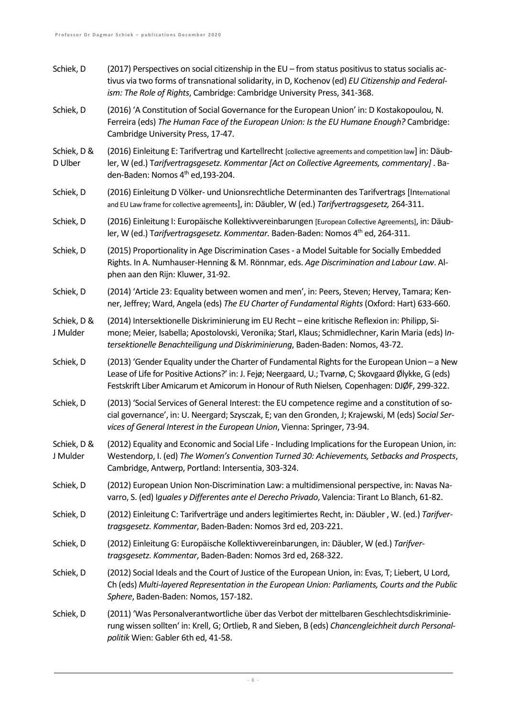| Schiek, D               | (2017) Perspectives on social citizenship in the EU - from status positivus to status socialis ac-<br>tivus via two forms of transnational solidarity, in D, Kochenov (ed) EU Citizenship and Federal-<br>ism: The Role of Rights, Cambridge: Cambridge University Press, 341-368.                     |
|-------------------------|--------------------------------------------------------------------------------------------------------------------------------------------------------------------------------------------------------------------------------------------------------------------------------------------------------|
| Schiek, D               | (2016) 'A Constitution of Social Governance for the European Union' in: D Kostakopoulou, N.<br>Ferreira (eds) The Human Face of the European Union: Is the EU Humane Enough? Cambridge:<br>Cambridge University Press, 17-47.                                                                          |
| Schiek, D &<br>D Ulber  | (2016) Einleitung E: Tarifvertrag und Kartellrecht [collective agreements and competition law] in: Däub-<br>ler, W (ed.) Tarifvertragsgesetz. Kommentar [Act on Collective Agreements, commentary]. Ba-<br>den-Baden: Nomos 4 <sup>th</sup> ed, 193-204.                                               |
| Schiek, D               | (2016) Einleitung D Völker- und Unionsrechtliche Determinanten des Tarifvertrags [International<br>and EU Law frame for collective agremeents], in: Däubler, W (ed.) Tarifvertragsgesetz, 264-311.                                                                                                     |
| Schiek, D               | (2016) Einleitung I: Europäische Kollektivvereinbarungen [European Collective Agreements], in: Däub-<br>ler, W (ed.) Tarifvertragsgesetz. Kommentar. Baden-Baden: Nomos 4 <sup>th</sup> ed, 264-311.                                                                                                   |
| Schiek, D               | (2015) Proportionality in Age Discrimination Cases - a Model Suitable for Socially Embedded<br>Rights. In A. Numhauser-Henning & M. Rönnmar, eds. Age Discrimination and Labour Law. Al-<br>phen aan den Rijn: Kluwer, 31-92.                                                                          |
| Schiek, D               | (2014) 'Article 23: Equality between women and men', in: Peers, Steven; Hervey, Tamara; Ken-<br>ner, Jeffrey; Ward, Angela (eds) The EU Charter of Fundamental Rights (Oxford: Hart) 633-660.                                                                                                          |
| Schiek, D &<br>J Mulder | (2014) Intersektionelle Diskriminierung im EU Recht - eine kritische Reflexion in: Philipp, Si-<br>mone; Meier, Isabella; Apostolovski, Veronika; Starl, Klaus; Schmidlechner, Karin Maria (eds) In-<br>tersektionelle Benachteiligung und Diskriminierung, Baden-Baden: Nomos, 43-72.                 |
| Schiek, D               | (2013) 'Gender Equality under the Charter of Fundamental Rights for the European Union - a New<br>Lease of Life for Positive Actions?' in: J. Fejø; Neergaard, U.; Tvarnø, C; Skovgaard Ølykke, G (eds)<br>Festskrift Liber Amicarum et Amicorum in Honour of Ruth Nielsen, Copenhagen: DJØF, 299-322. |
| Schiek, D               | (2013) 'Social Services of General Interest: the EU competence regime and a constitution of so-<br>cial governance', in: U. Neergard; Szysczak, E; van den Gronden, J; Krajewski, M (eds) Social Ser-<br>vices of General Interest in the European Union, Vienna: Springer, 73-94.                     |
| Schiek, D &<br>J Mulder | (2012) Equality and Economic and Social Life - Including Implications for the European Union, in:<br>Westendorp, I. (ed) The Women's Convention Turned 30: Achievements, Setbacks and Prospects,<br>Cambridge, Antwerp, Portland: Intersentia, 303-324.                                                |
| Schiek, D               | (2012) European Union Non-Discrimination Law: a multidimensional perspective, in: Navas Na-<br>varro, S. (ed) Iguales y Differentes ante el Derecho Privado, Valencia: Tirant Lo Blanch, 61-82.                                                                                                        |
| Schiek, D               | (2012) Einleitung C: Tarifverträge und anders legitimiertes Recht, in: Däubler, W. (ed.) Tarifver-<br>tragsgesetz. Kommentar, Baden-Baden: Nomos 3rd ed, 203-221.                                                                                                                                      |
| Schiek, D               | (2012) Einleitung G: Europäische Kollektivvereinbarungen, in: Däubler, W (ed.) Tarifver-<br>tragsgesetz. Kommentar, Baden-Baden: Nomos 3rd ed, 268-322.                                                                                                                                                |
| Schiek, D               | (2012) Social Ideals and the Court of Justice of the European Union, in: Evas, T; Liebert, U Lord,<br>Ch (eds) Multi-layered Representation in the European Union: Parliaments, Courts and the Public<br>Sphere, Baden-Baden: Nomos, 157-182.                                                          |
| Schiek, D               | (2011) 'Was Personalverantwortliche über das Verbot der mittelbaren Geschlechtsdiskriminie-<br>rung wissen sollten' in: Krell, G; Ortlieb, R and Sieben, B (eds) Chancengleichheit durch Personal-<br>politik Wien: Gabler 6th ed, 41-58.                                                              |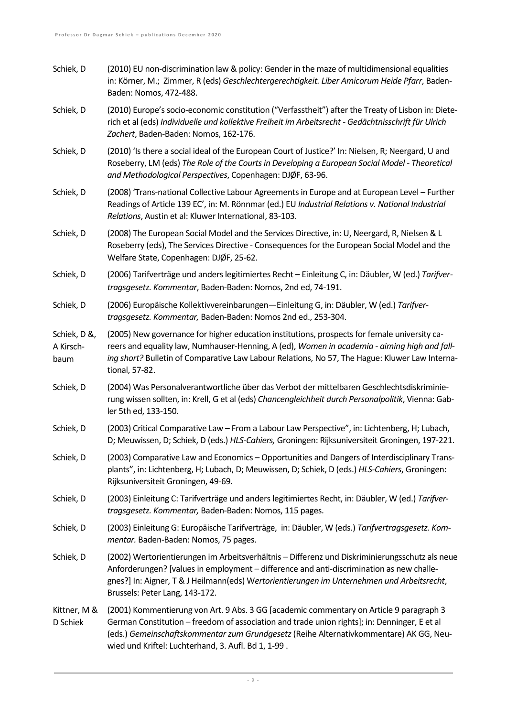- Schiek, D (2010) EU non-discrimination law & policy: Gender in the maze of multidimensional equalities in: Körner, M.; Zimmer, R (eds) *Geschlechtergerechtigkeit. Liber Amicorum Heide Pfarr*, Baden-Baden: Nomos, 472-488.
- Schiek, D (2010) Europe's socio-economic constitution ("Verfasstheit") after the Treaty of Lisbon in: Dieterich et al (eds) *Individuelle und kollektive Freiheit im Arbeitsrecht - Gedächtnisschrift für Ulrich Zachert*, Baden-Baden: Nomos, 162-176.
- Schiek, D (2010) 'Is there a social ideal of the European Court of Justice?' In: Nielsen, R; Neergard, U and Roseberry, LM (eds) *The Role of the Courts in Developing a European Social Model - Theoretical and Methodological Perspectives*, Copenhagen: DJØF, 63-96.
- Schiek, D (2008) 'Trans-national Collective Labour Agreements in Europe and at European Level Further Readings of Article 139 EC', in: M. Rönnmar (ed.) EU *Industrial Relations v. National Industrial Relations*, Austin et al: Kluwer International, 83-103.
- Schiek, D (2008) The European Social Model and the Services Directive, in: U, Neergard, R, Nielsen & L Roseberry (eds), The Services Directive - Consequences for the European Social Model and the Welfare State, Copenhagen: DJØF, 25-62.
- Schiek, D (2006) Tarifverträge und anders legitimiertes Recht Einleitung C, in: Däubler, W (ed.) *Tarifvertragsgesetz. Kommentar*, Baden-Baden: Nomos, 2nd ed, 74-191.
- Schiek, D (2006) Europäische Kollektivvereinbarungen—Einleitung G, in: Däubler, W (ed.) *Tarifvertragsgesetz. Kommentar,* Baden-Baden: Nomos 2nd ed., 253-304.
- Schiek, D &, A Kirschbaum (2005) New governance for higher education institutions, prospects for female university careers and equality law, Numhauser-Henning, A (ed), *Women in academia - aiming high and falling short?* Bulletin of Comparative Law Labour Relations, No 57, The Hague: Kluwer Law International, 57-82.
- Schiek, D (2004) Was Personalverantwortliche über das Verbot der mittelbaren Geschlechtsdiskriminierung wissen sollten, in: Krell, G et al (eds) *Chancengleichheit durch Personalpolitik*, Vienna: Gabler 5th ed, 133-150.
- Schiek, D (2003) Critical Comparative Law From a Labour Law Perspective", in: Lichtenberg, H; Lubach, D; Meuwissen, D; Schiek, D (eds.) *HLS-Cahiers,* Groningen: Rijksuniversiteit Groningen, 197-221.
- Schiek, D (2003) Comparative Law and Economics Opportunities and Dangers of Interdisciplinary Transplants", in: Lichtenberg, H; Lubach, D; Meuwissen, D; Schiek, D (eds.) *HLS-Cahiers*, Groningen: Rijksuniversiteit Groningen, 49-69.
- Schiek, D (2003) Einleitung C: Tarifverträge und anders legitimiertes Recht, in: Däubler, W (ed.) *Tarifvertragsgesetz. Kommentar,* Baden-Baden: Nomos, 115 pages.
- Schiek, D (2003) Einleitung G: Europäische Tarifverträge, in: Däubler, W (eds.) *Tarifvertragsgesetz. Kommentar.* Baden-Baden: Nomos, 75 pages.
- Schiek, D (2002) Wertorientierungen im Arbeitsverhältnis Differenz und Diskriminierungsschutz als neue Anforderungen? [values in employment – difference and anti-discrimination as new challegnes?] In: Aigner, T & J Heilmann(eds) W*ertorientierungen im Unternehmen und Arbeitsrecht*, Brussels: Peter Lang, 143-172.
- Kittner, M & D Schiek (2001) Kommentierung von Art. 9 Abs. 3 GG [academic commentary on Article 9 paragraph 3 German Constitution – freedom of association and trade union rights]; in: Denninger, E et al (eds.) *Gemeinschaftskommentar zum Grundgesetz*(Reihe Alternativkommentare) AK GG, Neuwied und Kriftel: Luchterhand, 3. Aufl. Bd 1, 1-99 .